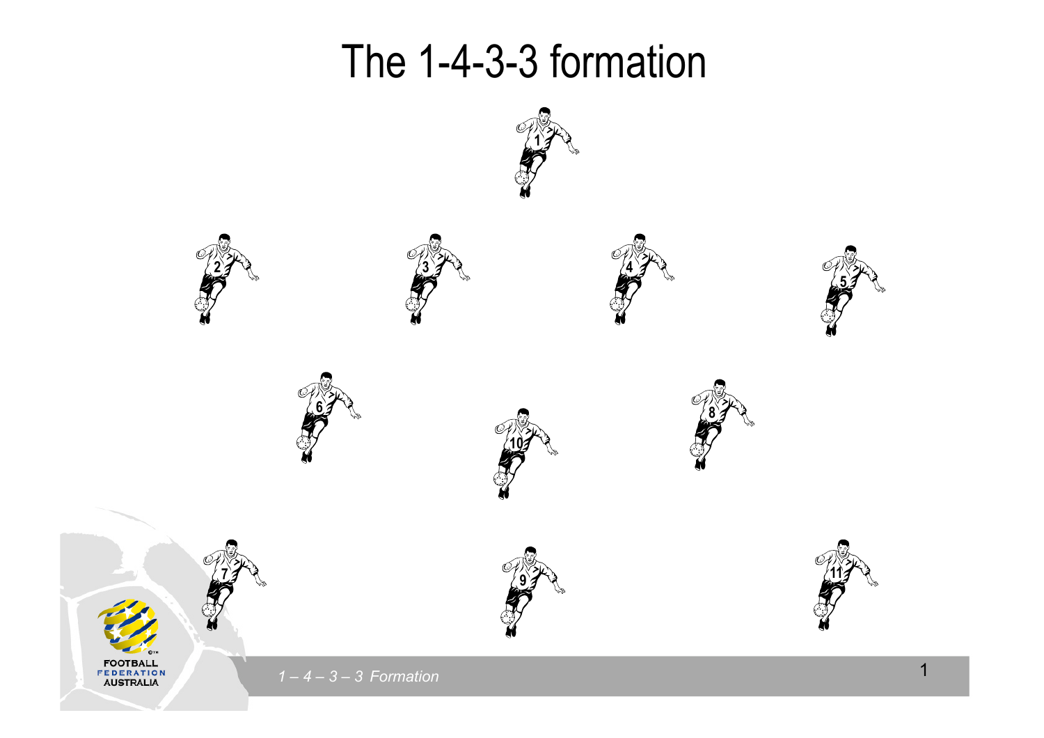## The 1-4-3-3 formation

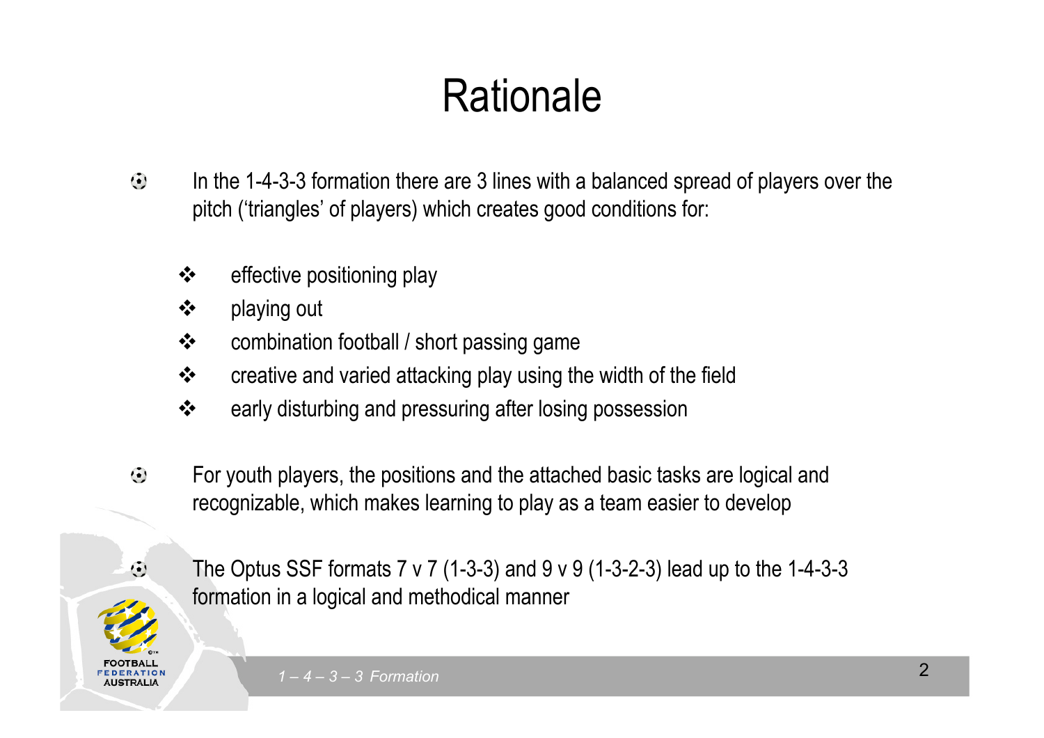## **Rationale**

- Click to edit Master title style  $\ddot{\bm{\cdot}}$ In the 1-4-3-3 formation there are 3 lines with a balanced spread of players over the pitch ('triangles' of players) which creates good conditions for:
	- $\cdot$  effective positioning play **❖** effective positioning play
	- $\begin{array}{r} \leftarrow \text{S} \rightarrow \text{S} \rightarrow \text{S} \rightarrow \text{S} \rightarrow \text{S} \rightarrow \text{S} \rightarrow \text{S} \rightarrow \text{S} \rightarrow \text{S} \rightarrow \text{S} \rightarrow \text{S} \rightarrow \text{S} \rightarrow \text{S} \rightarrow \text{S} \rightarrow \text{S} \rightarrow \text{S} \rightarrow \text{S} \rightarrow \text{S} \rightarrow \text{S} \rightarrow \text{S} \rightarrow \text{S} \rightarrow \text{S} \rightarrow \text{S} \rightarrow \text{S} \rightarrow \text{S} \rightarrow \text{S} \rightarrow \text{S} \rightarrow \text{S} \rightarrow \text{S} \rightarrow \text{S} \rightarrow$
	- ❖ combination football / short passing game
	- $\clubsuit$  creative and varied attacking play using the width of the field
		- $\blacklozenge$ early disturbing and pressuring after losing possession
- $\odot$ For youth players, the positions and the attached basic tasks are logical and recognizable, which makes learning to play as a team easier to develop



The Optus SSF formats  $7 \vee 7$  (1-3-3) and  $9 \vee 9$  (1-3-2-3) lead up to the 1-4-3-3 formation in a logical and methodical manner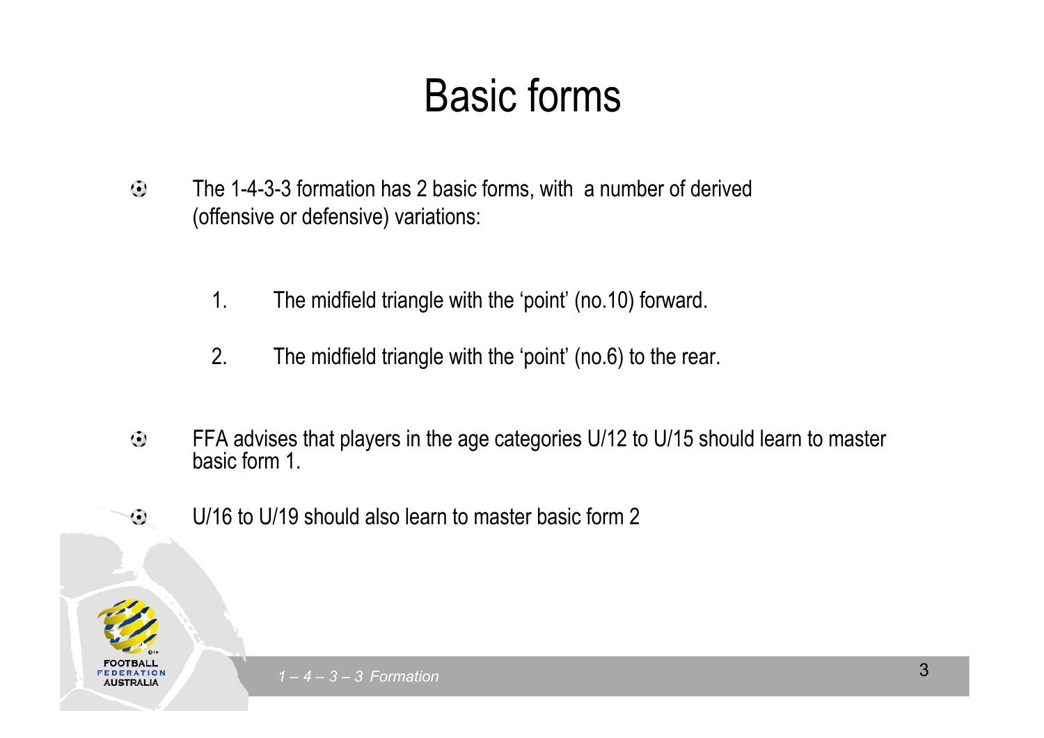## Basic forms

- The 1-4-3-3 formation has 2 basic forms, with a number of derived  $\odot$ (offensive or defensive) variations:
	- 1. The midfield triangle with the 'point' (no.10) forward.
	- $\overline{\phantom{a}}$ Fourth level in the second level in the second level in the second level in the second level in the second lev<br>Fourth level in the second level in the second level in the second level in the second level in the second lev 2. The midfield triangle with the 'point' (no.6) to the rear.
- FFA advises that players in the age categories U/12 to U/15 should learn to master  $\ddot{\odot}$ basic form 1.
- U/16 to U/19 should also learn to master basic form 2  $\odot$

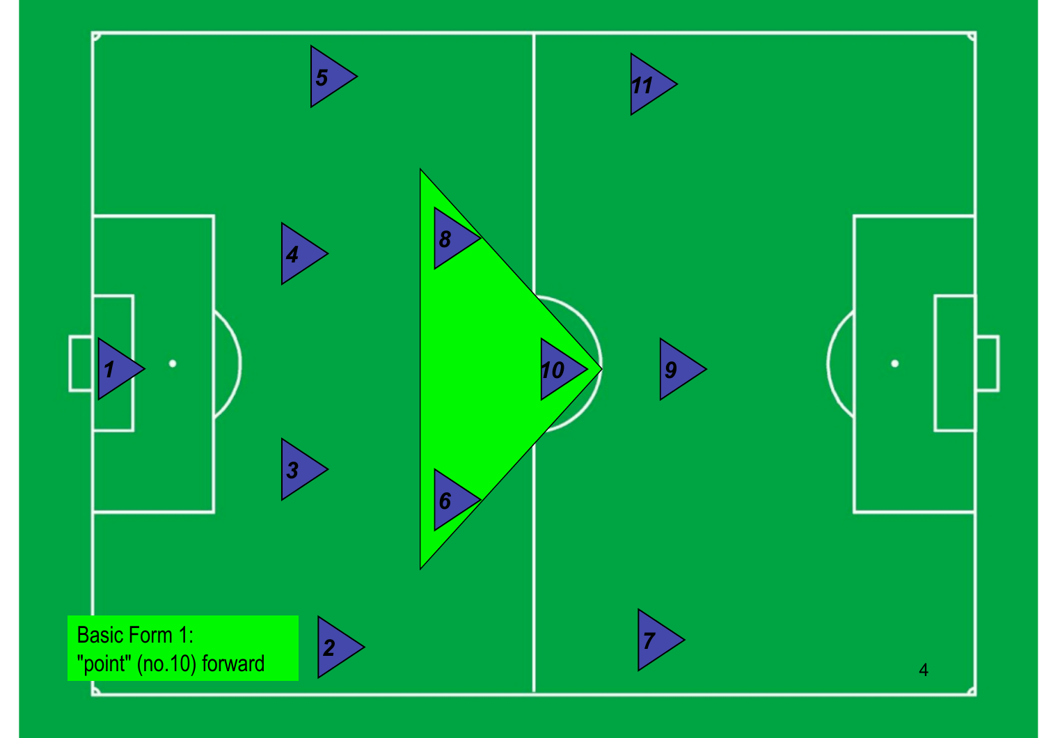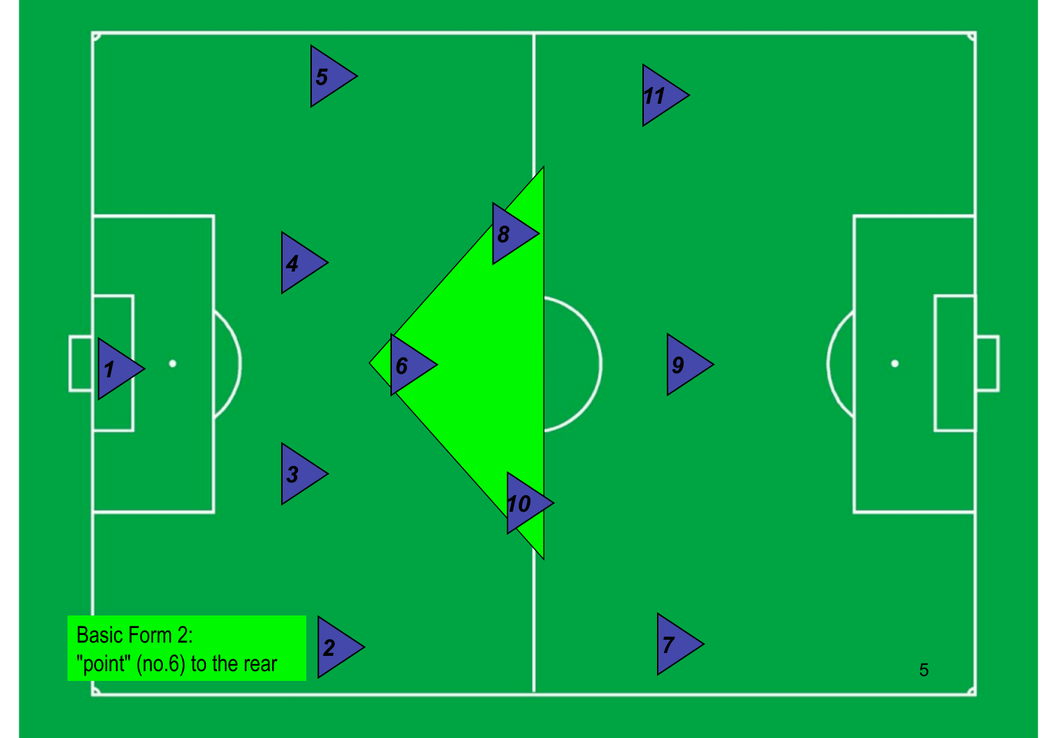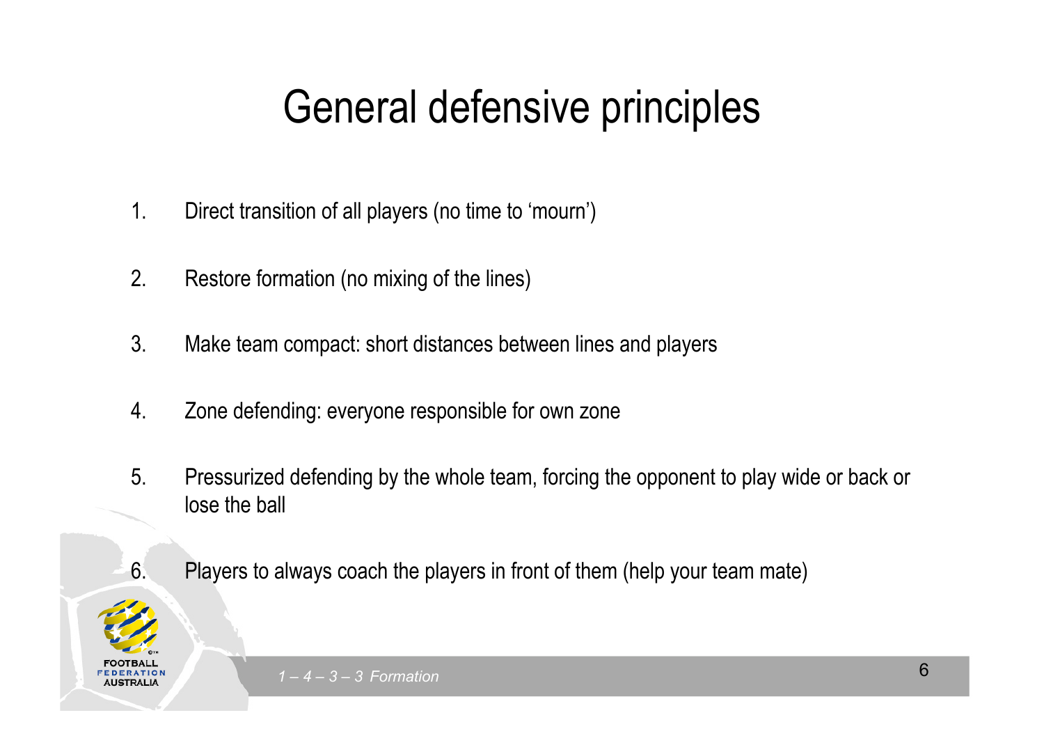## Conditation to principies General defensive principles

- 1. Direct transition of all players (no time to 'mourn')
- Click to edit Master text styles  $\sim$  research lemma. 2. Restore formation (no mixing of the lines)
- 3. Make team compact: short distances between lines and players
- 4. Zone defending: everyone responsible for own zone
- 5. Pressurized defending by the whole team, forcing the opponent to play wide or back or lose the ball



6. Players to always coach the players in front of them (help your team mate)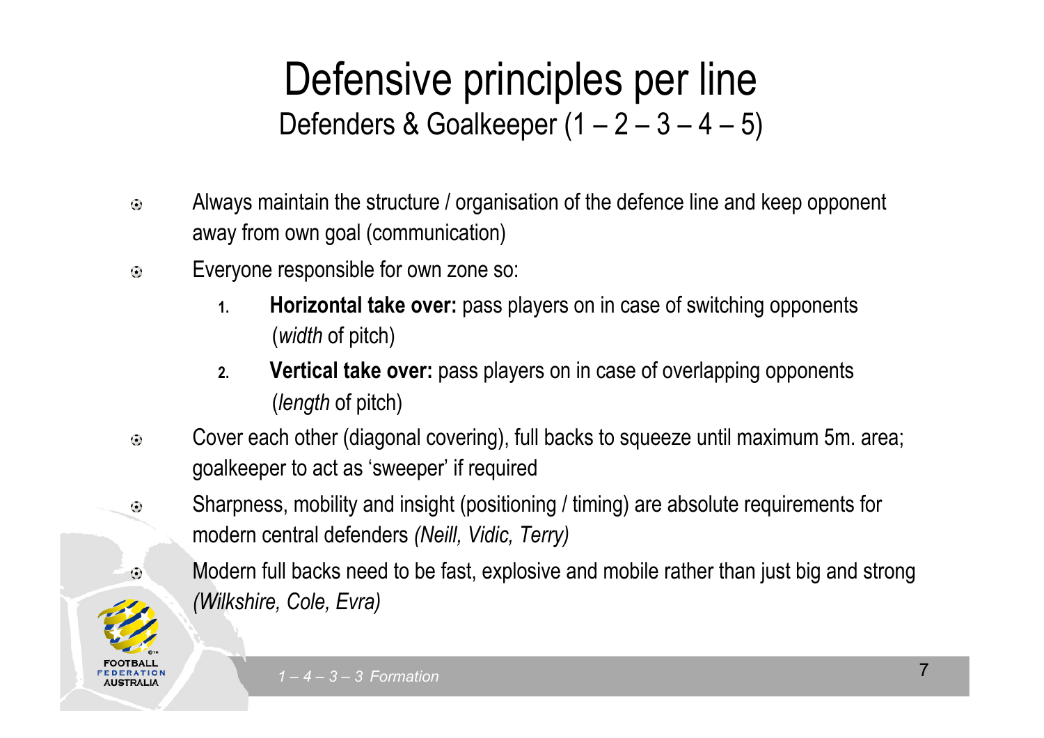# Defenders & Goalkeeper (1 – 2 – 3 – 4 – 5) Defensive principles per line

- Always maintain the structure / organisation of the defence line and keep opponent  $\odot$ away from own goal (communication)
- away noni own goal (communication)<br>Everyone responsible for own zone so:

 $\odot$ 

 $\odot$ 

- 1. **Horizontal take over:** pass players on in case of switching opponents (*width* of pitch)
- $\overline{\mathbf{c}}$ **2. Vertical take over:** pass players on in case of overlapping opponents (*length* of pitch)
- Cover each other (diagonal covering), full backs to squeeze until maximum 5m. area;  $\odot$ goalkeeper to act as 'sweeper' if required
	- Sharpness, mobility and insight (positioning / timing) are absolute requirements for modern central defenders *(Neill, Vidic, Terry)* 
		- Modern full backs need to be fast, explosive and mobile rather than just big and strong *(Wilkshire, Cole, Evra)*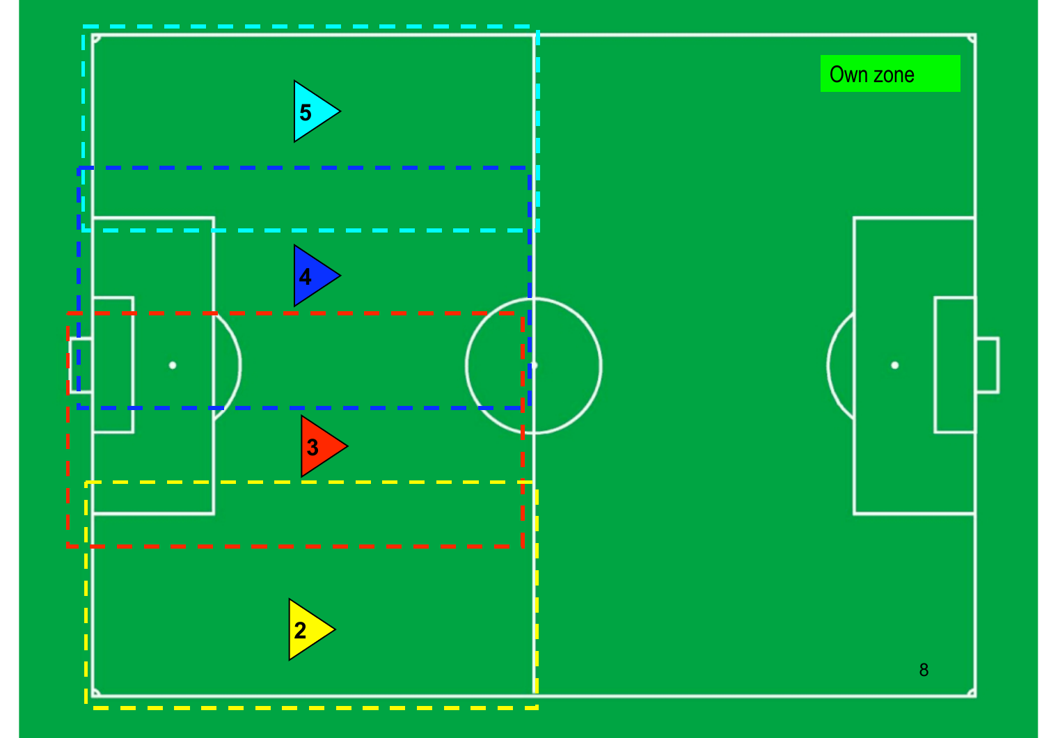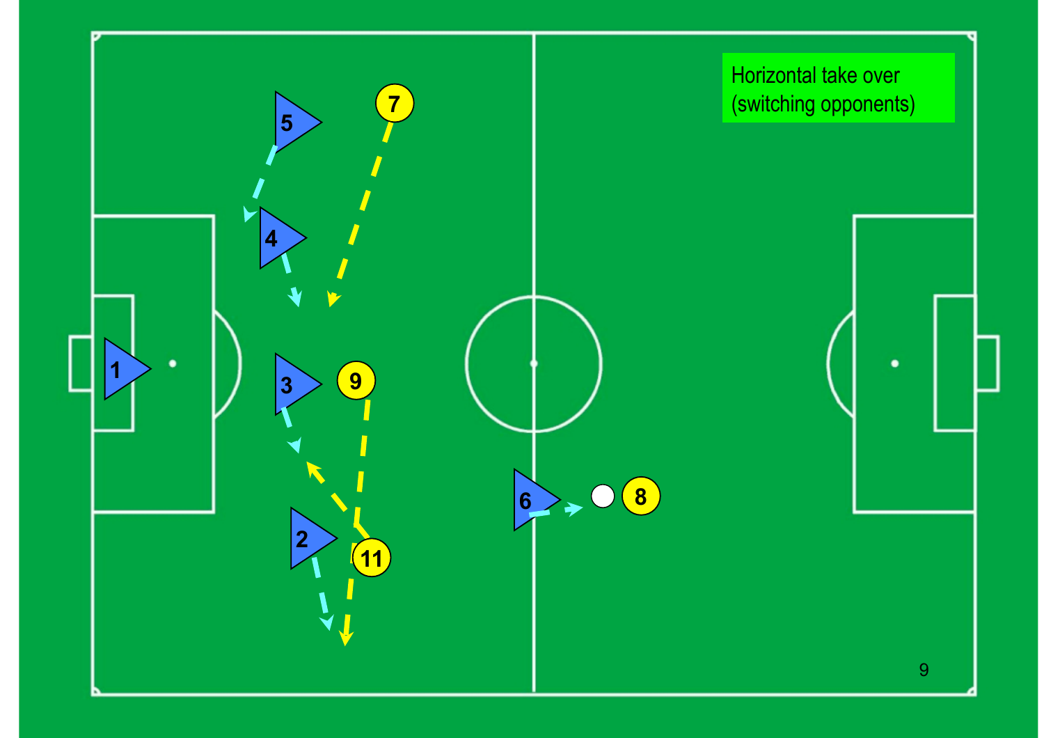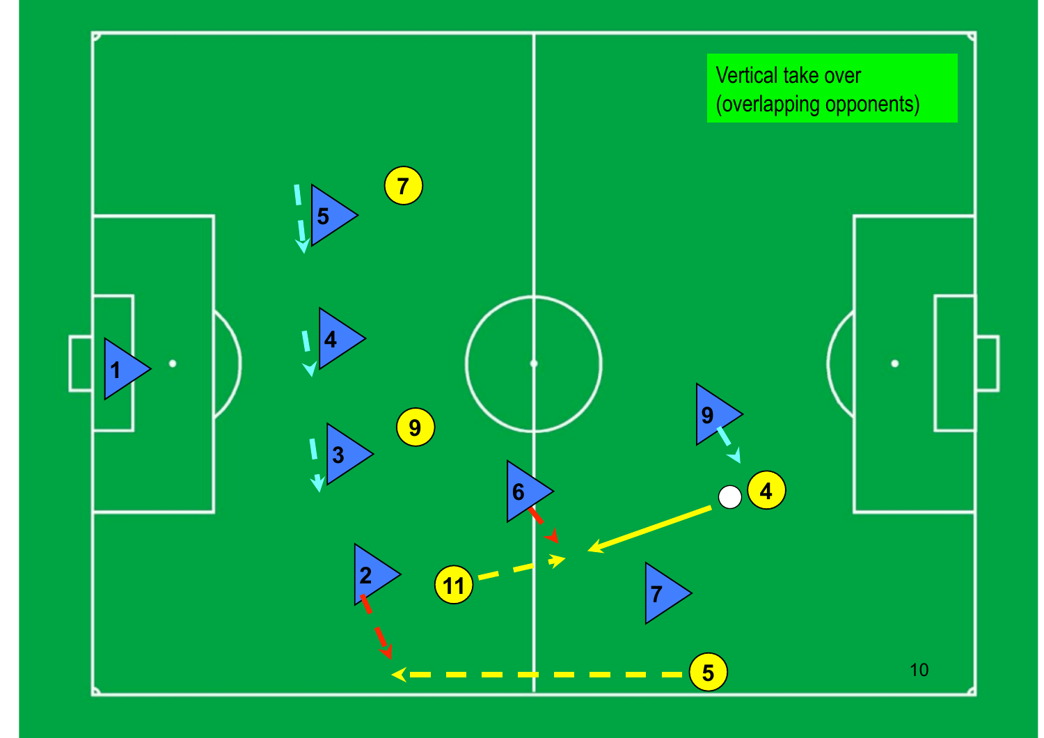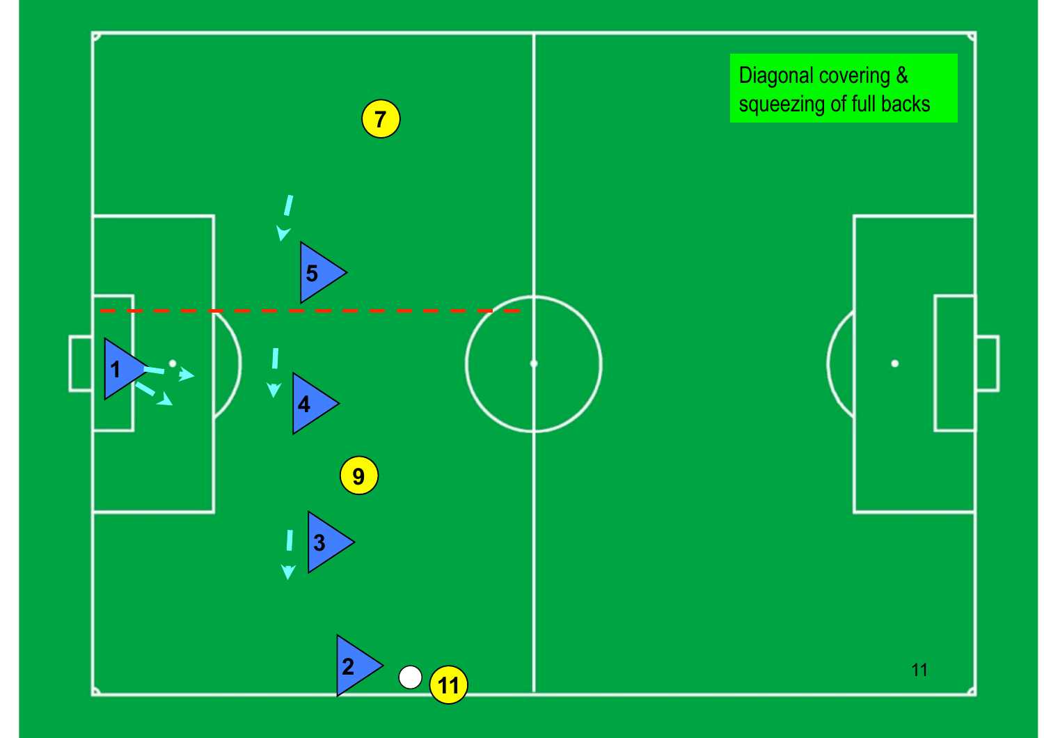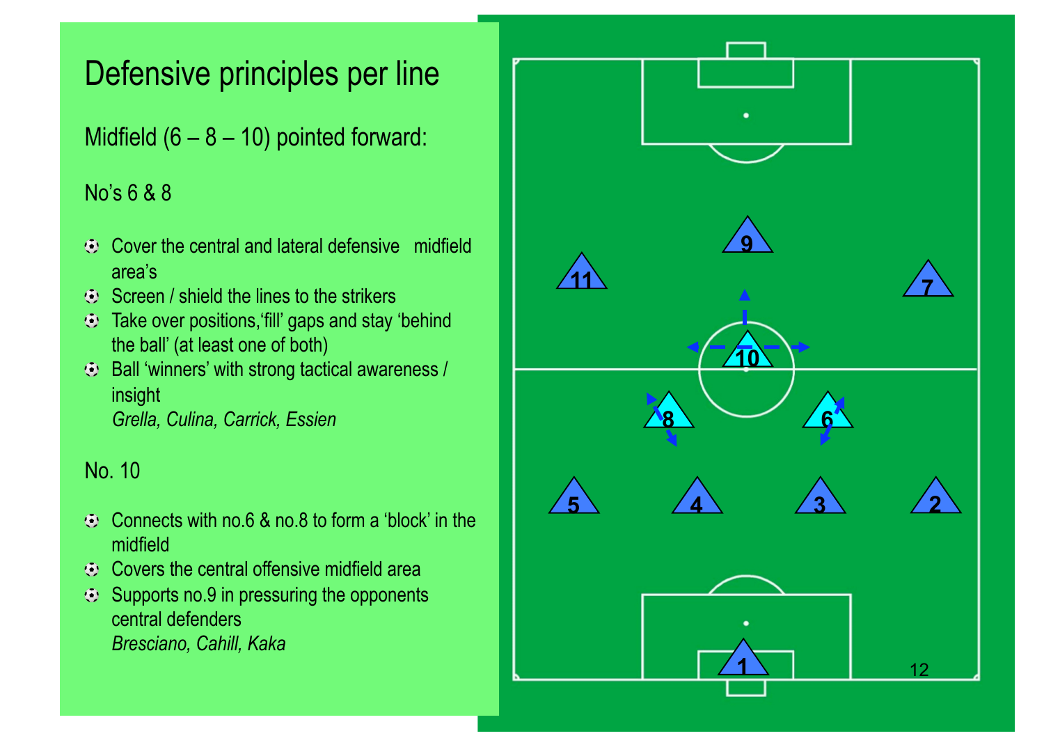### Defensive principles per line

#### No's 6 & 8

- Cover the central and lateral defensive midfield  $\bigcap_{n=1}^{\infty}$ area's
- Screen / shield the lines to the strikers
- the ball' (at least one of both)  $\odot$  Take over positions, fill' gaps and stay 'behind
- Ball 'winners' with strong tactical awareness / gni<br>Jle Culine C insight *Grella, Culina, Carrick, Essien*

#### No. 10

- $\odot$  Connects with no.6 & no.8 to form a 'block' in the midfield
- $\odot$  Covers the central offensive midfield area
- $\odot$  Supports no.9 in pressuring the opponents central defenders *Bresciano, Cahill, Kaka*

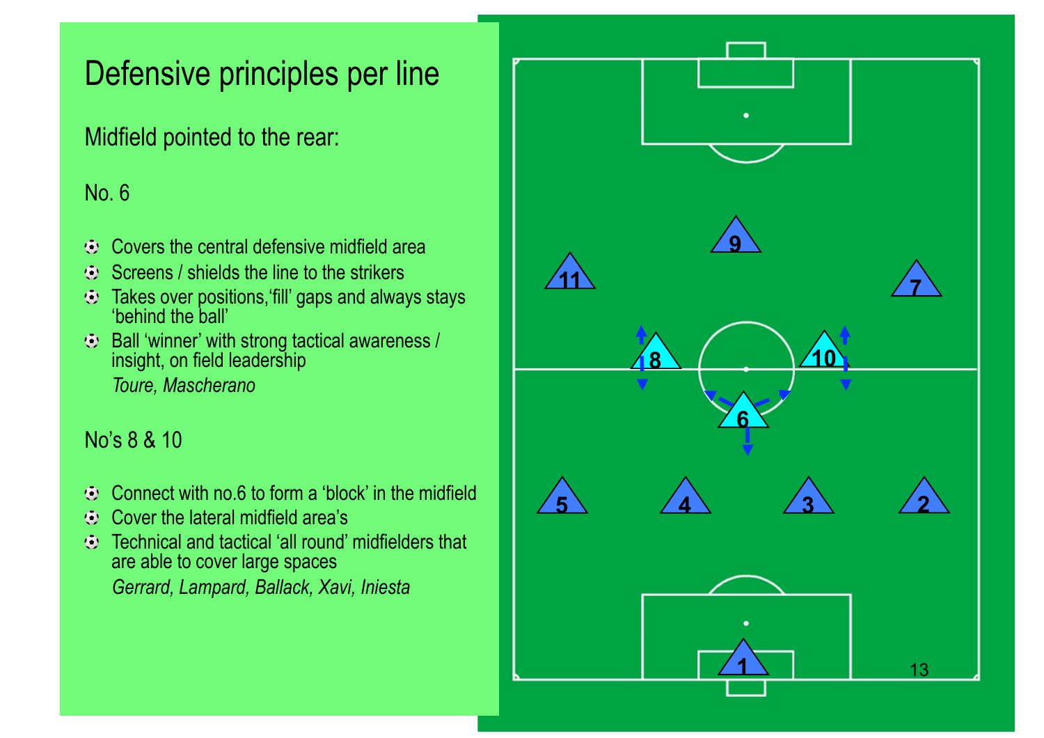### Defensive principles per line

Midfield pointed to the rear:

#### No. 6

- Covers the central defensive midfield area<br>Screens / shields the line to the strikers
- $\bigcirc$ Screens / shields the line to the strikers
- Takes over positions, fill' gaps and always stays<br>'behind the hall' 'behind the ball'
- Ball 'winner' with strong tactical awareness / Fourth level *Toure, Mascherano*  Figure 1995 insight, on field leadership

#### No's 8 & 10

- Connect with no.6 to form a 'block' in the midfield  $\bullet$
- Cover the lateral midfield area's  $\bullet$
- Technical and tactical 'all round' midfielders that  $\bigcirc$ are able to cover large spaces *Gerrard, Lampard, Ballack, Xavi, Iniesta*

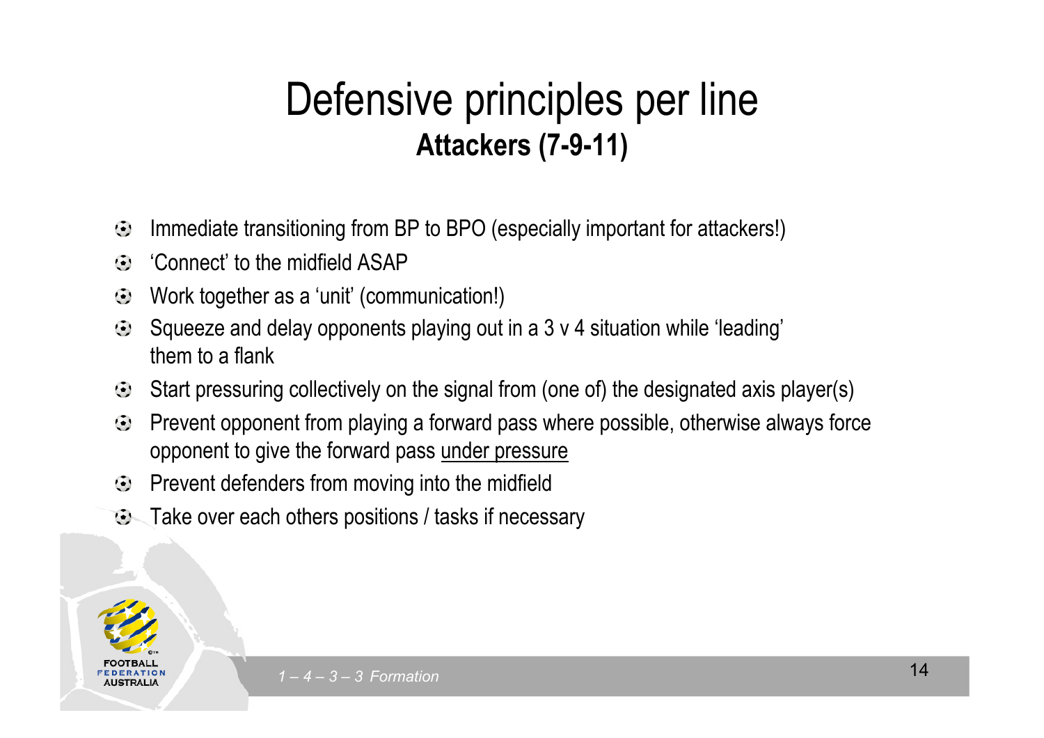#### **Attackers (7-9-11)** Defensive principles per line **Attackers (7-9-11)**

- $\odot$ Immediate transitioning from BP to BPO (especially important for attackers!)
- "Connect' to the midfield ASAP"  $\odot$
- Work together as a 'unit' (communication!)  $\odot$
- Squeeze and delay opponents playing out in a 3 v 4 situation while 'leading'<br>them to a flank  $\ddot{\bullet}$ them to a flank
- Giornico di ndi Start pressuring collectively on the signal from (one of) the designated axis player(s)  $\bigodot$ P<sub>nd</sub>
- Prevent opponent from playing a forward pass where possible, otherwise always force  $\bigodot$ opponent to give the forward pass under pressure
- Prevent defenders from moving into the midfield  $\bigodot$
- $\odot$  Take over each others positions / tasks if necessary

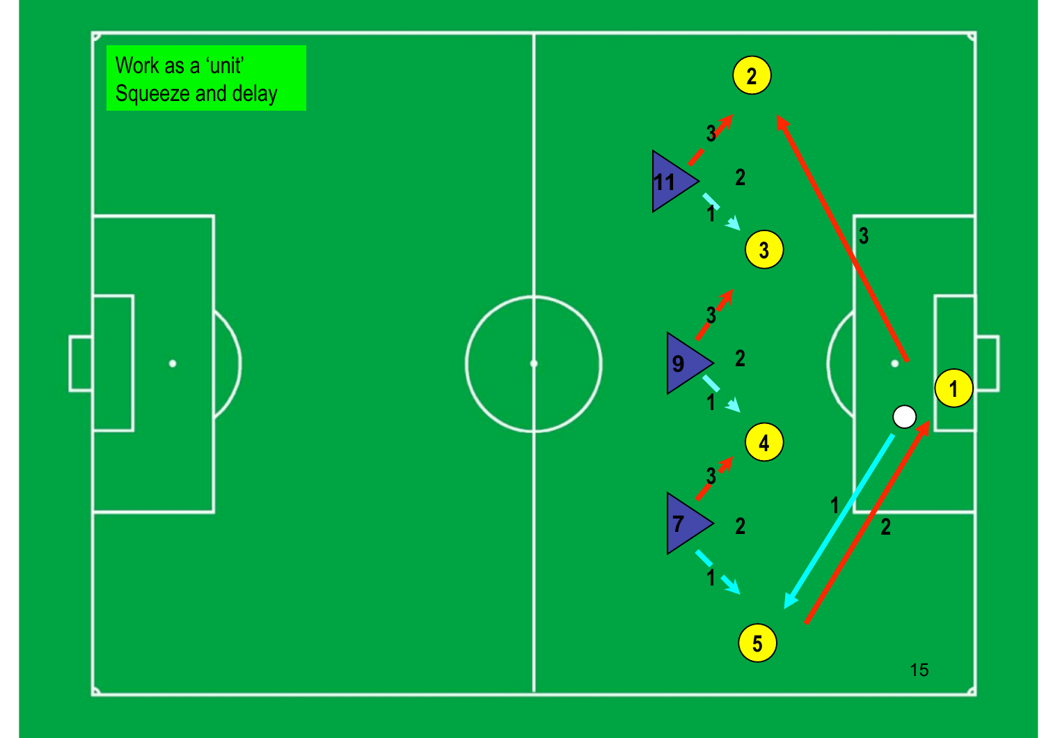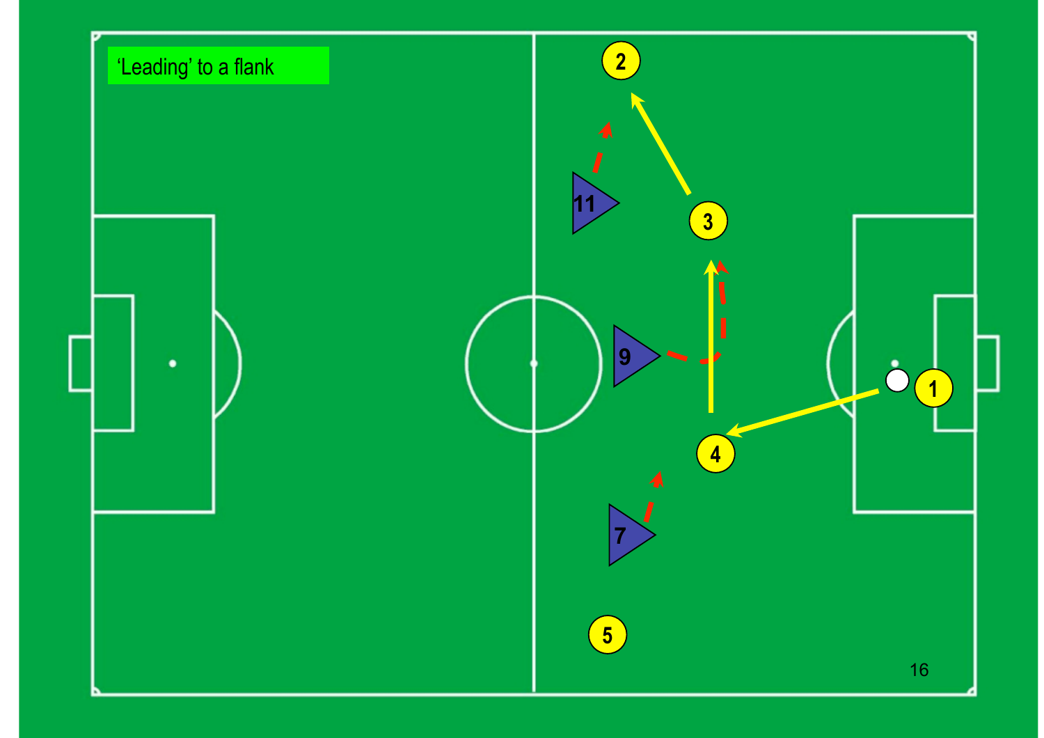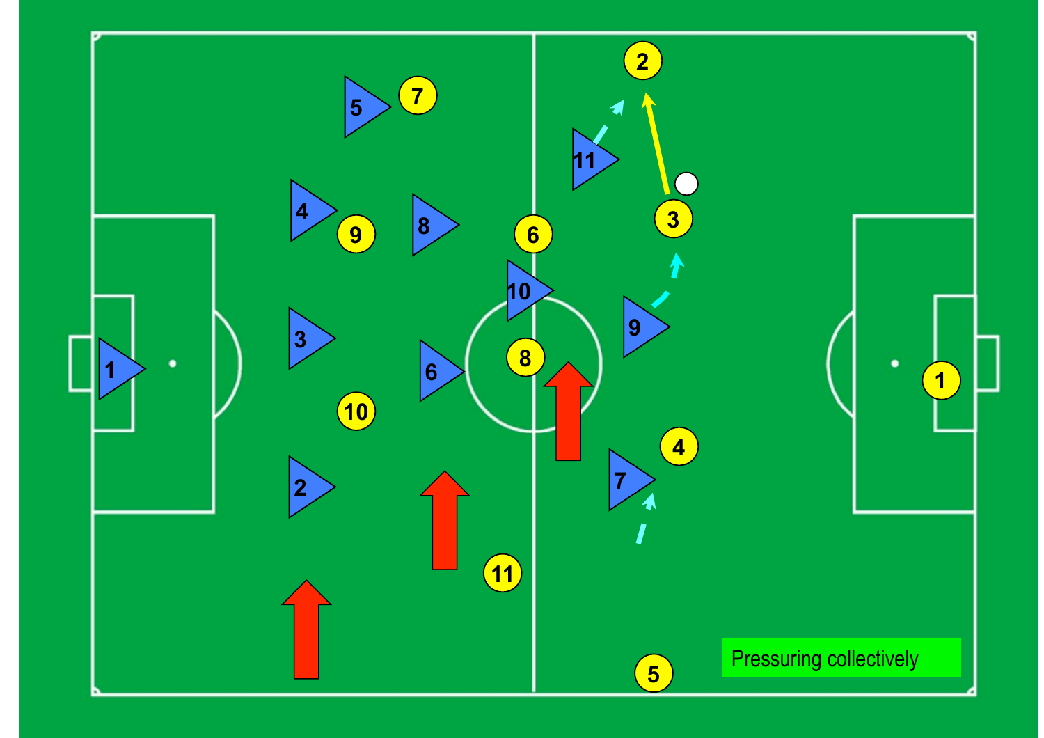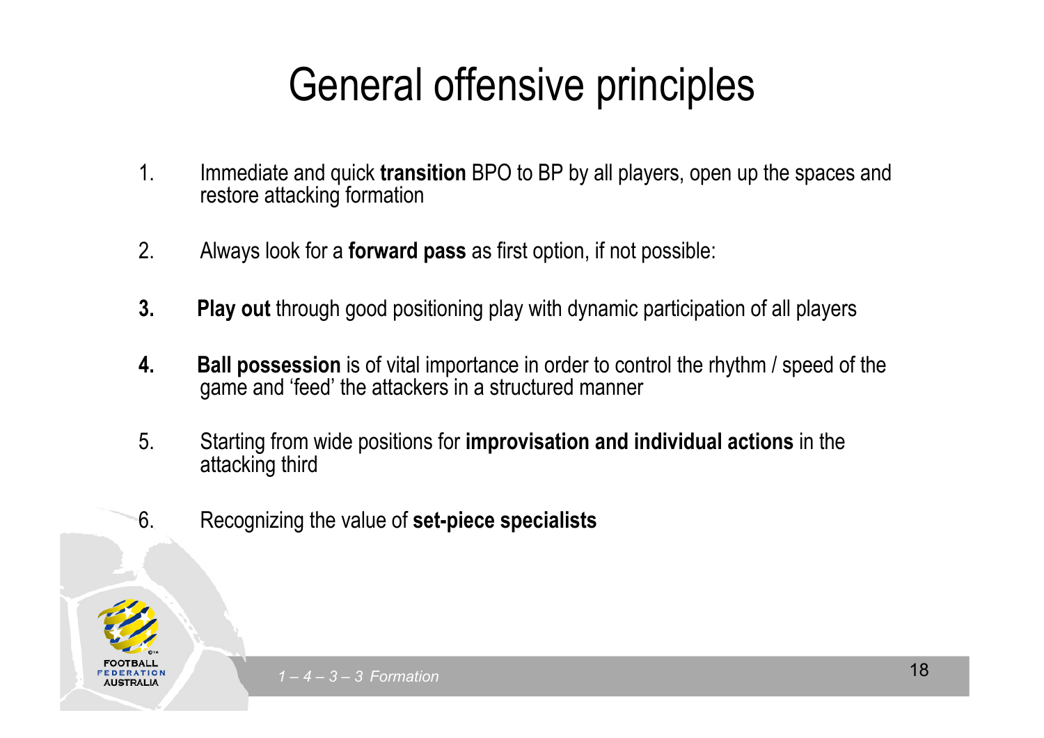## General offensive principles

- $\frac{1}{2}$  and quick transition RPO to RP by all players open up the sp 1. Immediate and quick **transition** BPO to BP by all players, open up the spaces and restore attacking formation
- 2. Always look for a **forward pass** as first option, if not possible:
- 3. Play out through good positioning play with dynamic participation of all players
- **4. Ball possession** is of vital importance in order to control the rhythm / speed of the game and 'food' the attackers in a structured manner. gan<br>T game and 'feed' the attackers in a structured manner
- 5. Starting from wide positions for **improvisation and individual actions** in the attacking third
- 6. Recognizing the value of **set-piece specialists**

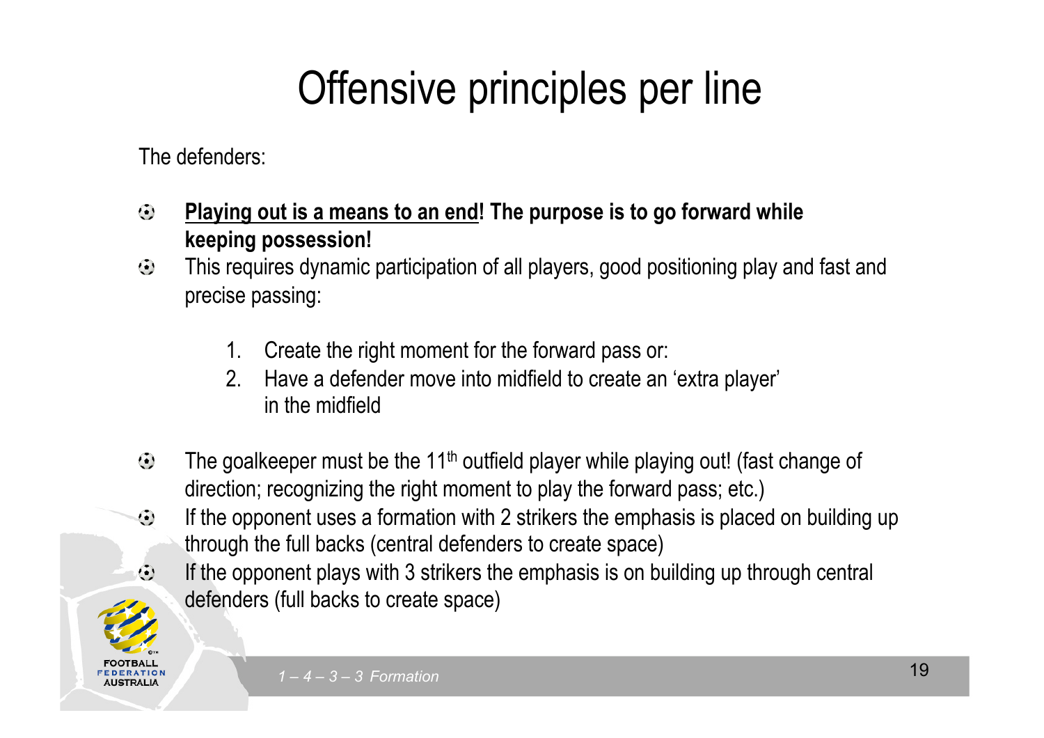## Offensive principles per line

Collection to edit Master the Master title style style style style style style style style style style style s<br>The Master title style style style style style style style style style style style style style style style styl The defenders:

- $\odot$ **Playing out is a means to an end! The purpose is to go forward while keeping possession!**
- **Keeping possession!**<br>• This requires dynamic participation of all players, good positioning play and fast and precise passing:
- 1. Create the right moment for the forward pass or:
	- $\mathcal{P}_{\mathcal{L}}$ 2. Have a defender move into midfield to create an 'extra player' in the midfield
- The goalkeeper must be the 11<sup>th</sup> outfield player while playing out! (fast change of  $\odot$ direction; recognizing the right moment to play the forward pass; etc.)
- If the opponent uses a formation with 2 strikers the emphasis is placed on building up  $\odot$ through the full backs (central defenders to create space)
- $\bigoplus$ If the opponent plays with 3 strikers the emphasis is on building up through central defenders (full backs to create space)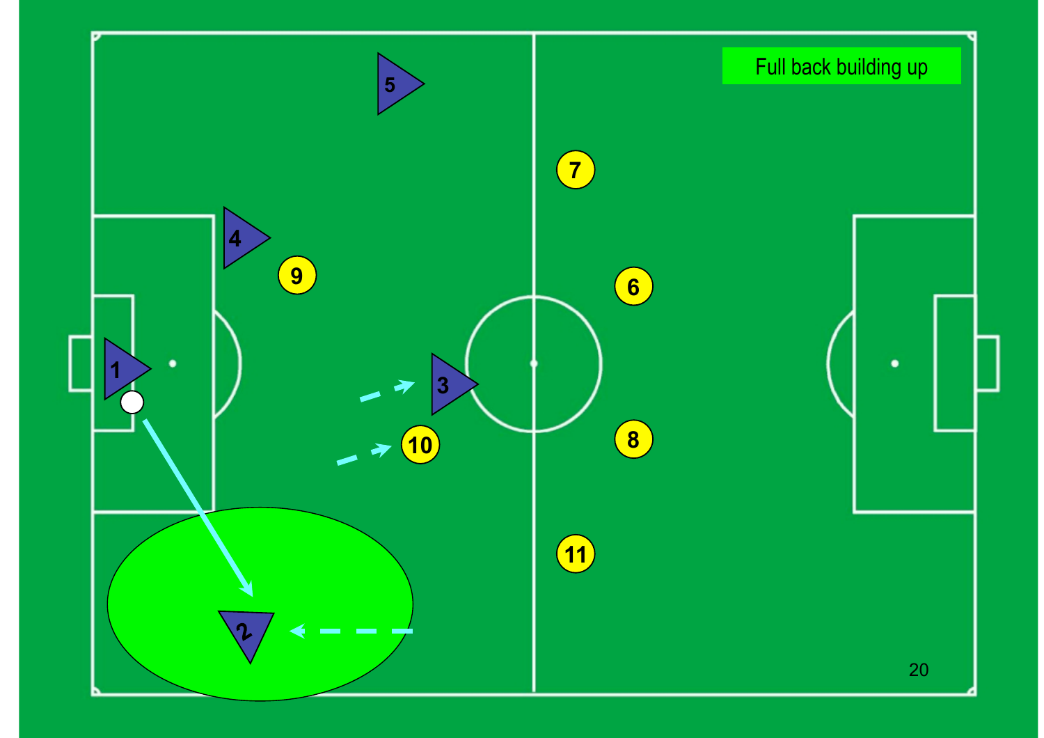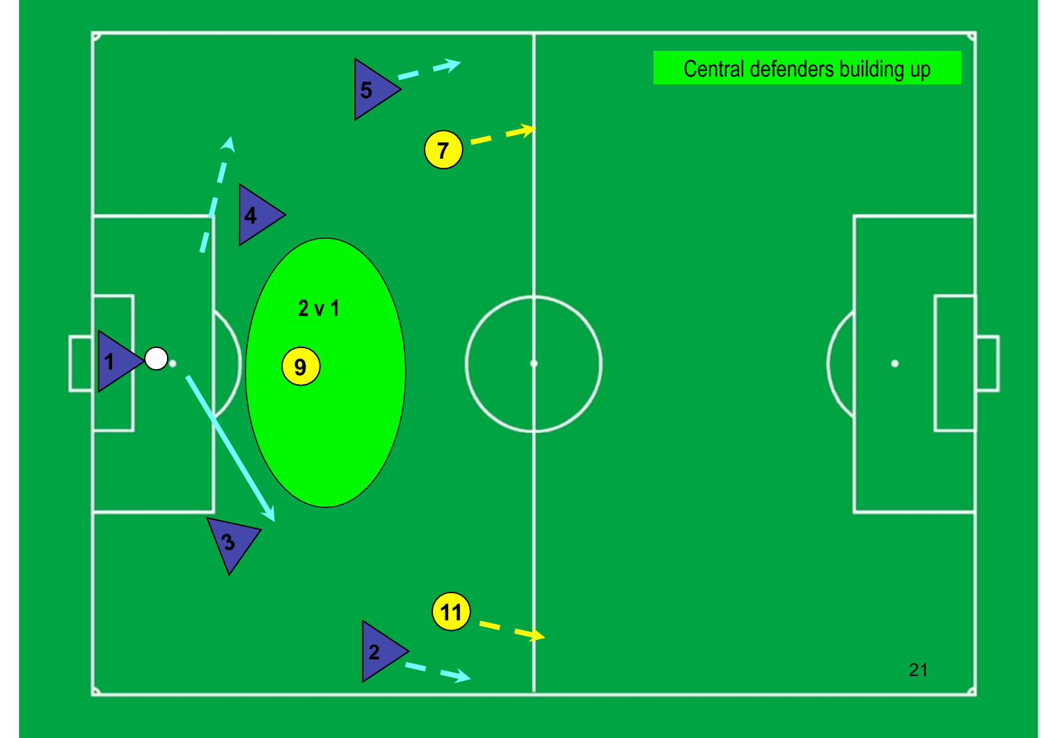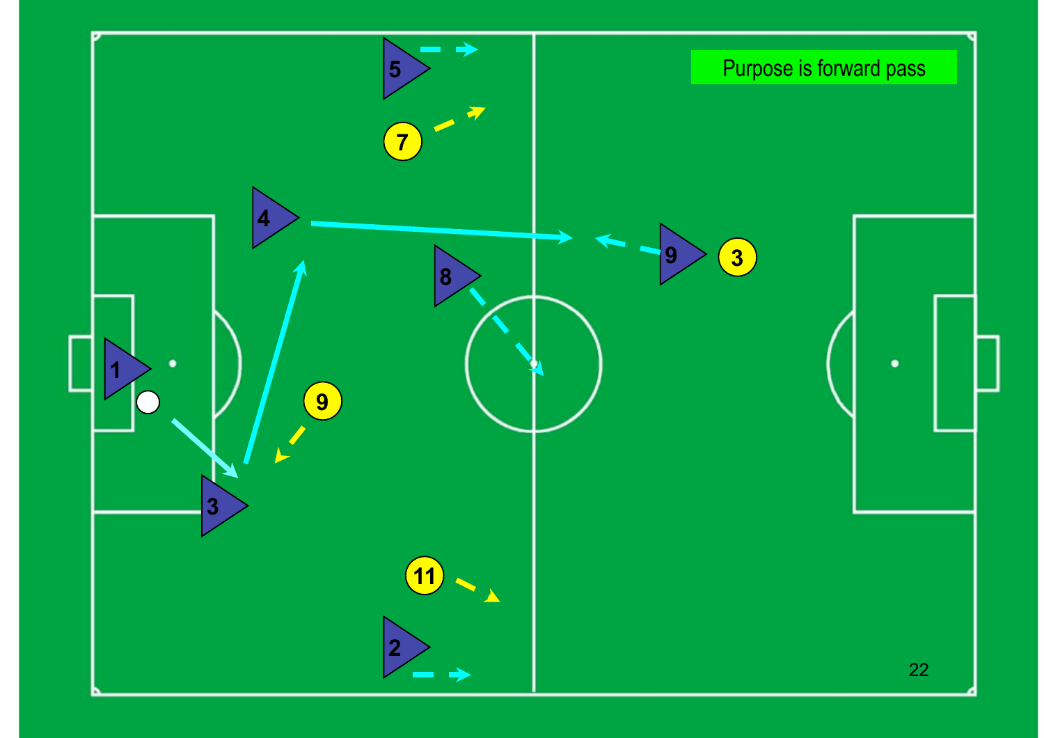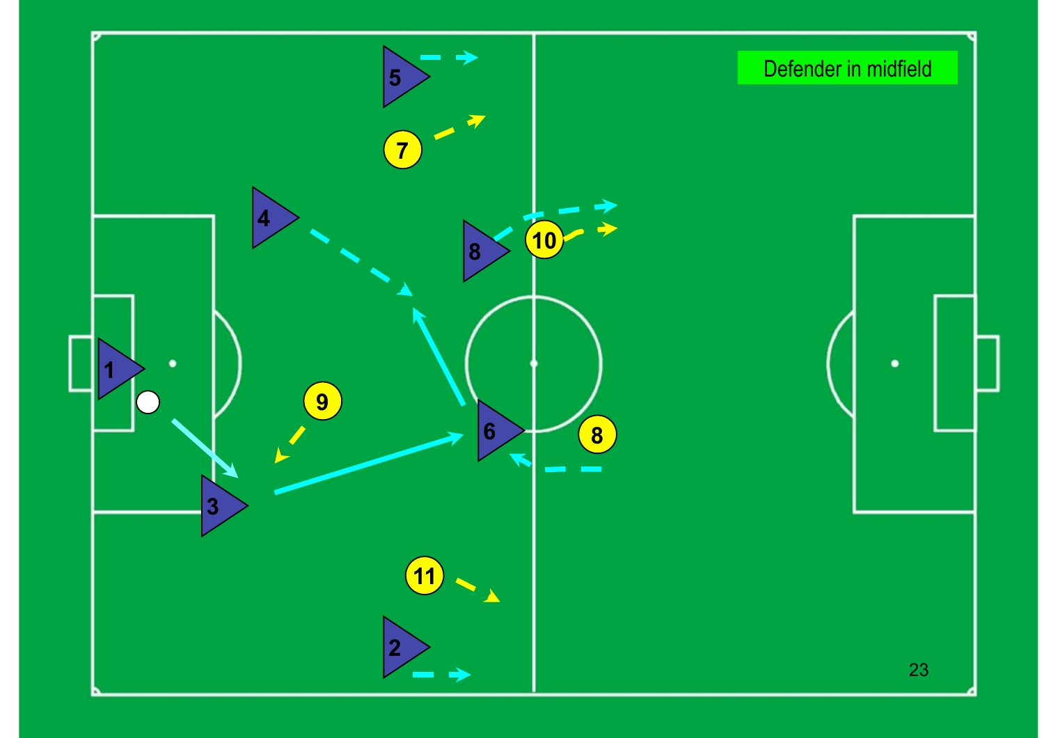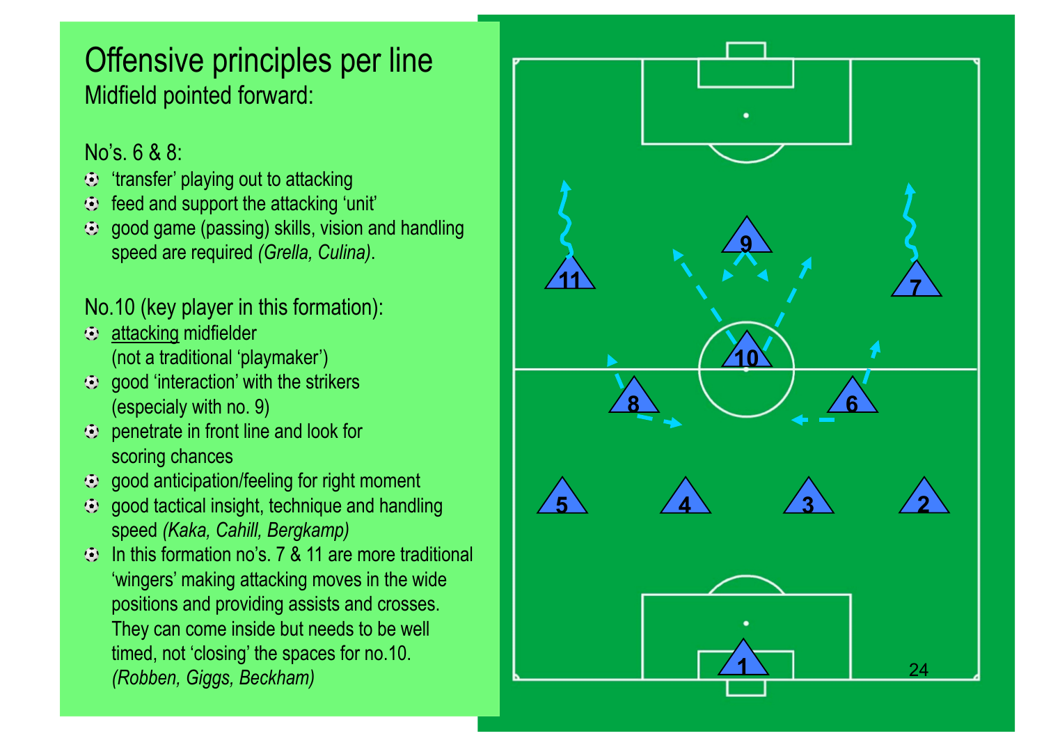### Offensive principles per line Midfield pointed forward:

#### No's. 6 & 8:

- $\odot$  'transfer' playing out to attacking
- $\odot$  feed and support the attacking 'unit'
- speed are required *(Grella, Culina)*.  $\odot$  good game (passing) skills, vision and handling

### No.10 (key player in this formation):

- attacking midfielder<br>(net e traditional inla (not a traditional 'playmaker')
- (not a traditional playmator)  $\overline{\text{(especially with no. 9)}}$
- $\odot$  penetrate in front line and look for scoring chances
- $\odot$  good anticipation/feeling for right moment
- $\odot$  good tactical insight, technique and handling speed *(Kaka, Cahill, Bergkamp)*
- $\odot$  In this formation no's. 7 & 11 are more traditional 'wingers' making attacking moves in the wide positions and providing assists and crosses. They can come inside but needs to be well timed, not 'closing' the spaces for no.10. *(Robben, Giggs, Beckham)*

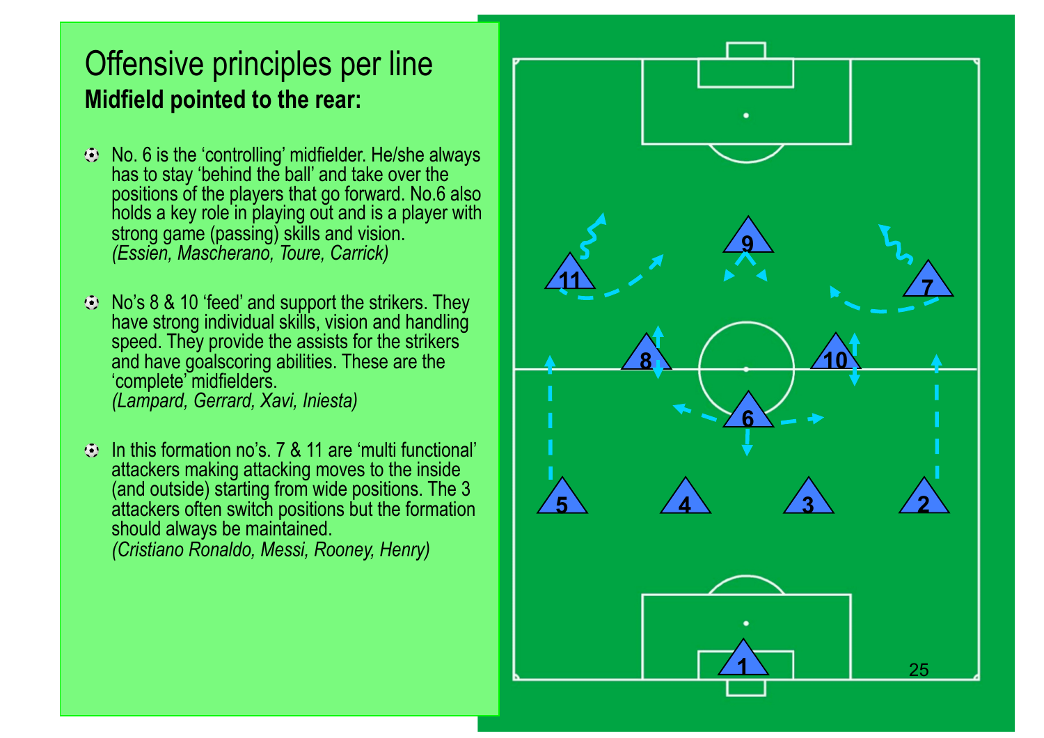### Offensive principles per line **Midfield pointed to the rear:**

- **Click to edit in the Click to edit styles in the Master School (Essien, Mascherano, Toure, Carrick)** has to stay 'behind the ball' and take over the positions of the players that go forward. No.6 also holds a key role in playing out and is a player with strong game (passing) skills and vision.
- No's 8 & 10 'feed' and support the strikers. They have shortly individual skille, vision and handling<br>speed. They provide the assists for the strikers and nave goalscomig a<br>'complete' midfielders. Fifth level *(Lampard, Gerrard, Xavi, Iniesta)* have strong individual skills, vision and handling and have goalscoring abilities. These are the
- In this formation no's. 7 & 11 are 'multi functional' attackers making attacking moves to the inside (and outside) starting from wide positions. The 3 attackers often switch positions but the formation should always be maintained. *(Cristiano Ronaldo, Messi, Rooney, Henry)*

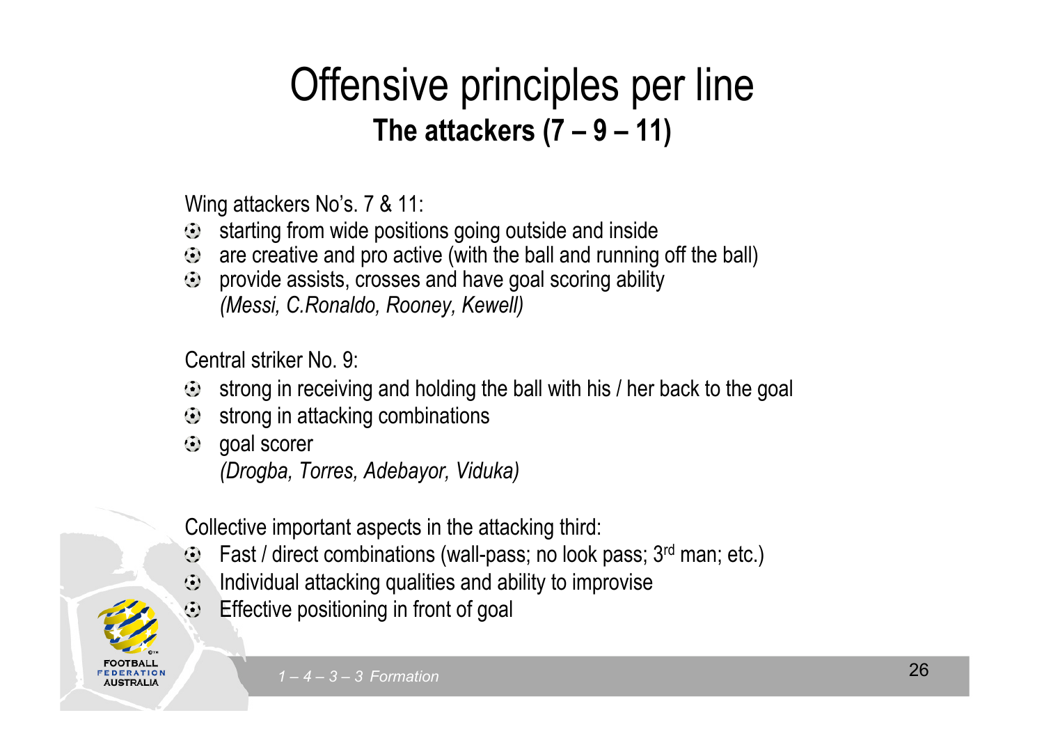# **The attackers (7 – 9 – 11)** Offensive principles per line

Wing attackers No's. 7 & 11:

- $\bullet$  starting from wide positions going outside and inside
- $\odot$  are creative and pro active (with the ball and running off the ball)
- Second level *(Messi, C.Ronaldo, Rooney, Kewell)* provide assists, crosses and have goal scoring ability

 $\overline{\phantom{a}}$ Central striker No. 9:

- Fourth definition. strong in receiving and holding the ball with his / her back to the goal
- $\bullet$  strong in receiving and norming the strong in attacking combinations
	- $\odot$  goal scorer

**.USTRALI** 

*(Drogba, Torres, Adebayor, Viduka)* 

Collective important aspects in the attacking third:

- Fast / direct combinations (wall-pass; no look pass; 3rd man; etc.)
- $\odot$  Individual attacking qualities and ability to improvise
- Effective positioning in front of goal  $\bigoplus$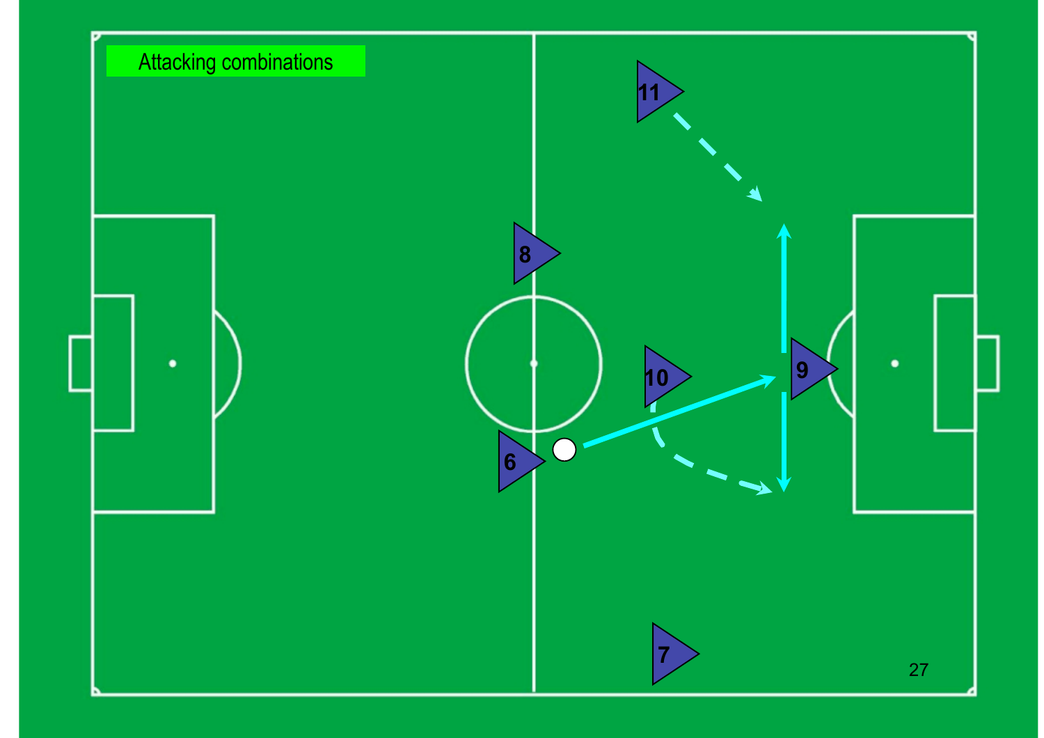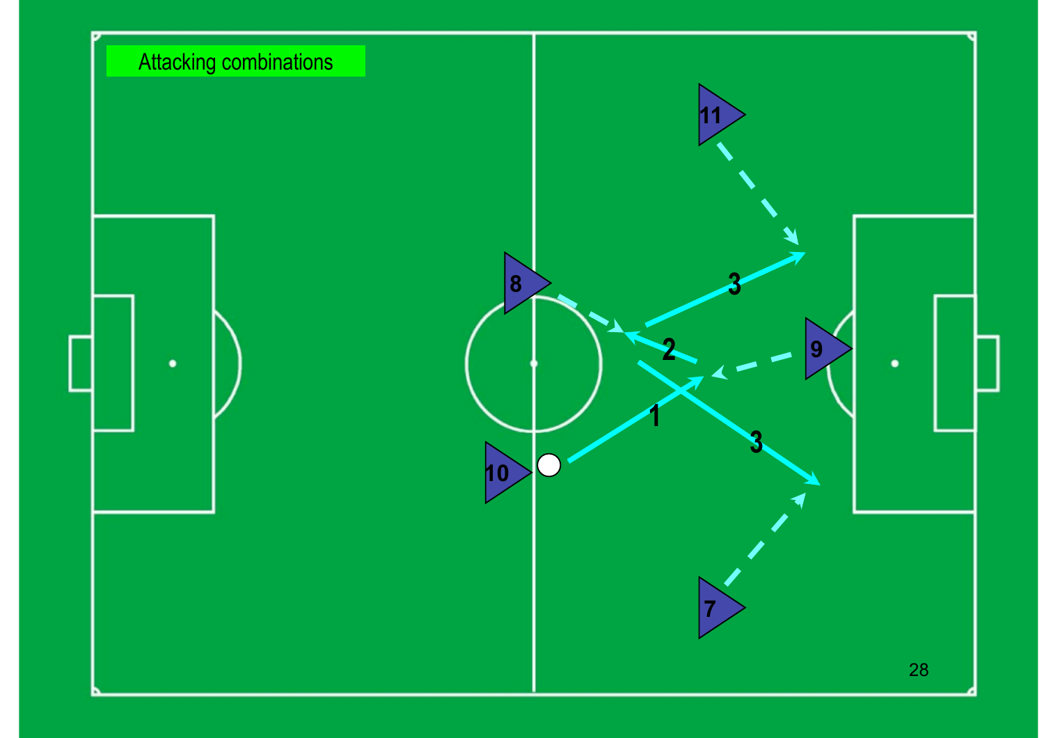